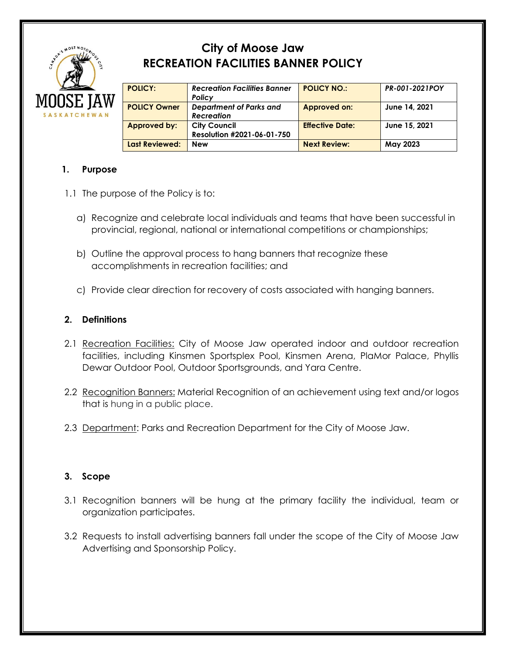

# **City of Moose Jaw RECREATION FACILITIES BANNER POLICY**

| <b>POLICY:</b>      | <b>Recreation Facilities Banner</b> | <b>POLICY NO.:</b>     | PR-001-2021POY |
|---------------------|-------------------------------------|------------------------|----------------|
|                     | Policy                              |                        |                |
| <b>POLICY Owner</b> | Department of Parks and             | Approved on:           | June 14, 2021  |
|                     | <b>Recreation</b>                   |                        |                |
| <b>Approved by:</b> | <b>City Council</b>                 | <b>Effective Date:</b> | June 15, 2021  |
|                     | Resolution #2021-06-01-750          |                        |                |
| Last Reviewed:      | <b>New</b>                          | <b>Next Review:</b>    | May 2023       |

# **1. Purpose**

- 1.1 The purpose of the Policy is to:
	- a) Recognize and celebrate local individuals and teams that have been successful in provincial, regional, national or international competitions or championships;
	- b) Outline the approval process to hang banners that recognize these accomplishments in recreation facilities; and
	- c) Provide clear direction for recovery of costs associated with hanging banners.

## **2. Definitions**

- 2.1 Recreation Facilities: City of Moose Jaw operated indoor and outdoor recreation facilities, including Kinsmen Sportsplex Pool, Kinsmen Arena, PlaMor Palace, Phyllis Dewar Outdoor Pool, Outdoor Sportsgrounds, and Yara Centre.
- 2.2 Recognition Banners: Material Recognition of an achievement using text and/or logos that is hung in a public place.
- 2.3 Department: Parks and Recreation Department for the City of Moose Jaw.

## **3. Scope**

- 3.1 Recognition banners will be hung at the primary facility the individual, team or organization participates.
- 3.2 Requests to install advertising banners fall under the scope of the City of Moose Jaw Advertising and Sponsorship Policy.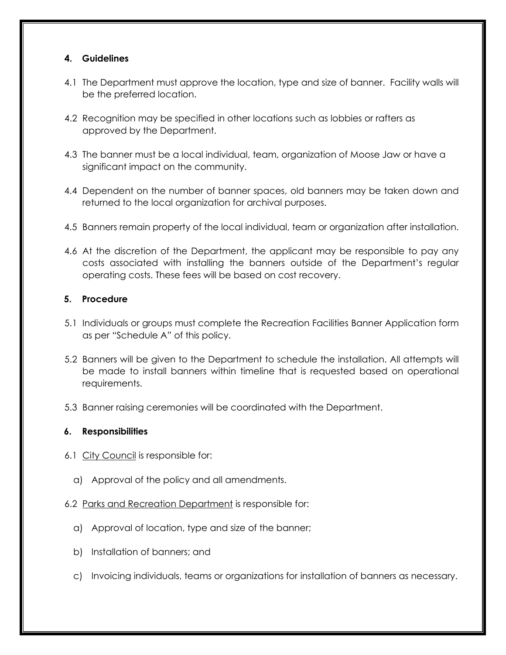#### **4. Guidelines**

- 4.1 The Department must approve the location, type and size of banner. Facility walls will be the preferred location.
- 4.2 Recognition may be specified in other locations such as lobbies or rafters as approved by the Department.
- 4.3 The banner must be a local individual, team, organization of Moose Jaw or have a significant impact on the community.
- 4.4 Dependent on the number of banner spaces, old banners may be taken down and returned to the local organization for archival purposes.
- 4.5 Banners remain property of the local individual, team or organization after installation.
- 4.6 At the discretion of the Department, the applicant may be responsible to pay any costs associated with installing the banners outside of the Department's regular operating costs. These fees will be based on cost recovery.

#### **5. Procedure**

- 5.1 Individuals or groups must complete the Recreation Facilities Banner Application form as per "Schedule A" of this policy.
- 5.2 Banners will be given to the Department to schedule the installation. All attempts will be made to install banners within timeline that is requested based on operational requirements.
- 5.3 Banner raising ceremonies will be coordinated with the Department.

#### **6. Responsibilities**

- 6.1 City Council is responsible for:
	- a) Approval of the policy and all amendments.
- 6.2 Parks and Recreation Department is responsible for:
	- a) Approval of location, type and size of the banner;
	- b) Installation of banners; and
	- c) Invoicing individuals, teams or organizations for installation of banners as necessary.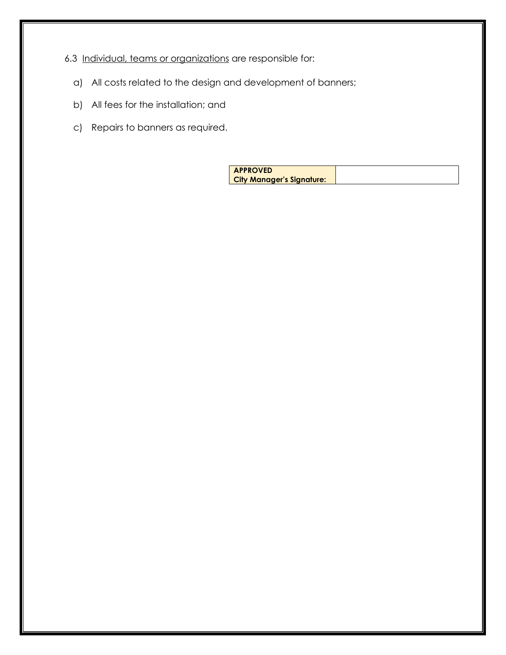# 6.3 Individual, teams or organizations are responsible for:

- a) All costs related to the design and development of banners;
- b) All fees for the installation; and
- c) Repairs to banners as required.

| <b>APPROVED</b>                  |  |
|----------------------------------|--|
| <b>City Manager's Signature:</b> |  |